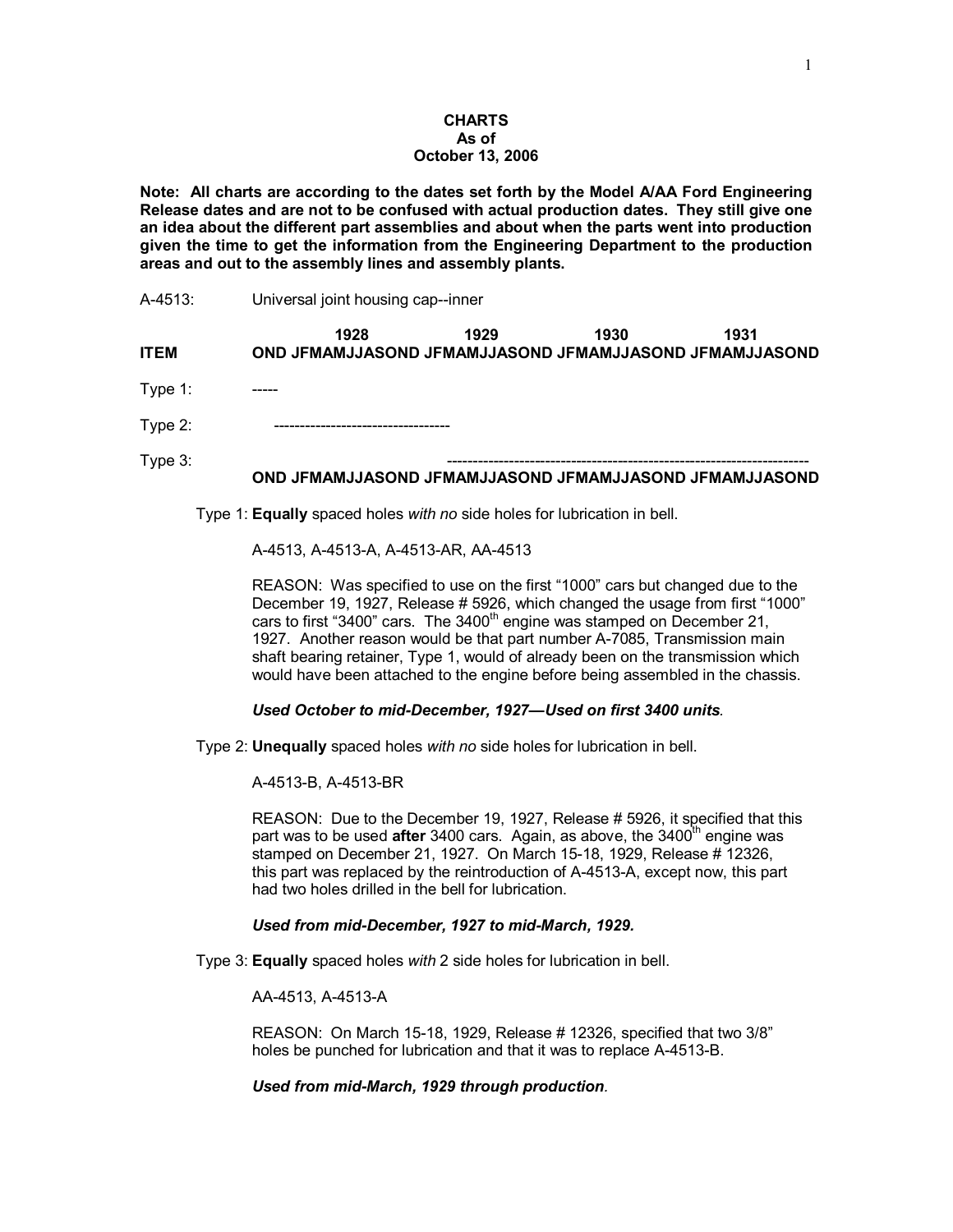### **CHARTS As of October 13, 2006**

**Note: All charts are according to the dates set forth by the Model A/AA Ford Engineering Release dates and are not to be confused with actual production dates. They still give one an idea about the different part assemblies and about when the parts went into production given the time to get the information from the Engineering Department to the production areas and out to the assembly lines and assembly plants.** 

A-4513: Universal joint housing cap--inner

| <b>ITEM</b> | 1928<br>OND JFMAMJJASOND JFMAMJJASOND JFMAMJJASOND JFMAMJJASOND | 1929 | 1930 | 1931 |  |
|-------------|-----------------------------------------------------------------|------|------|------|--|
| Type $1$ :  |                                                                 |      |      |      |  |
| Type $2$ :  |                                                                 |      |      |      |  |
| Type $3$ :  |                                                                 |      |      |      |  |

#### **OND JFMAMJJASOND JFMAMJJASOND JFMAMJJASOND JFMAMJJASOND**

Type 1: **Equally** spaced holes *with no* side holes for lubrication in bell.

A-4513, A-4513-A, A-4513-AR, AA-4513

REASON: Was specified to use on the first "1000" cars but changed due to the December 19, 1927, Release # 5926, which changed the usage from first "1000" cars to first "3400" cars. The  $3400<sup>th</sup>$  engine was stamped on December 21, 1927. Another reason would be that part number A-7085, Transmission main shaft bearing retainer, Type 1, would of already been on the transmission which would have been attached to the engine before being assembled in the chassis.

### *Used October to mid-December, 1927—Used on first 3400 units.*

Type 2: **Unequally** spaced holes *with no* side holes for lubrication in bell.

A-4513-B, A-4513-BR

REASON: Due to the December 19, 1927, Release # 5926, it specified that this part was to be used **after** 3400 cars. Again, as above, the 3400<sup>th</sup> engine was stamped on December 21, 1927. On March 15-18, 1929, Release # 12326, this part was replaced by the reintroduction of A-4513-A, except now, this part had two holes drilled in the bell for lubrication.

### *Used from mid-December, 1927 to mid-March, 1929.*

Type 3: **Equally** spaced holes *with* 2 side holes for lubrication in bell.

AA-4513, A-4513-A

REASON: On March 15-18, 1929, Release # 12326, specified that two 3/8" holes be punched for lubrication and that it was to replace A-4513-B.

*Used from mid-March, 1929 through production.*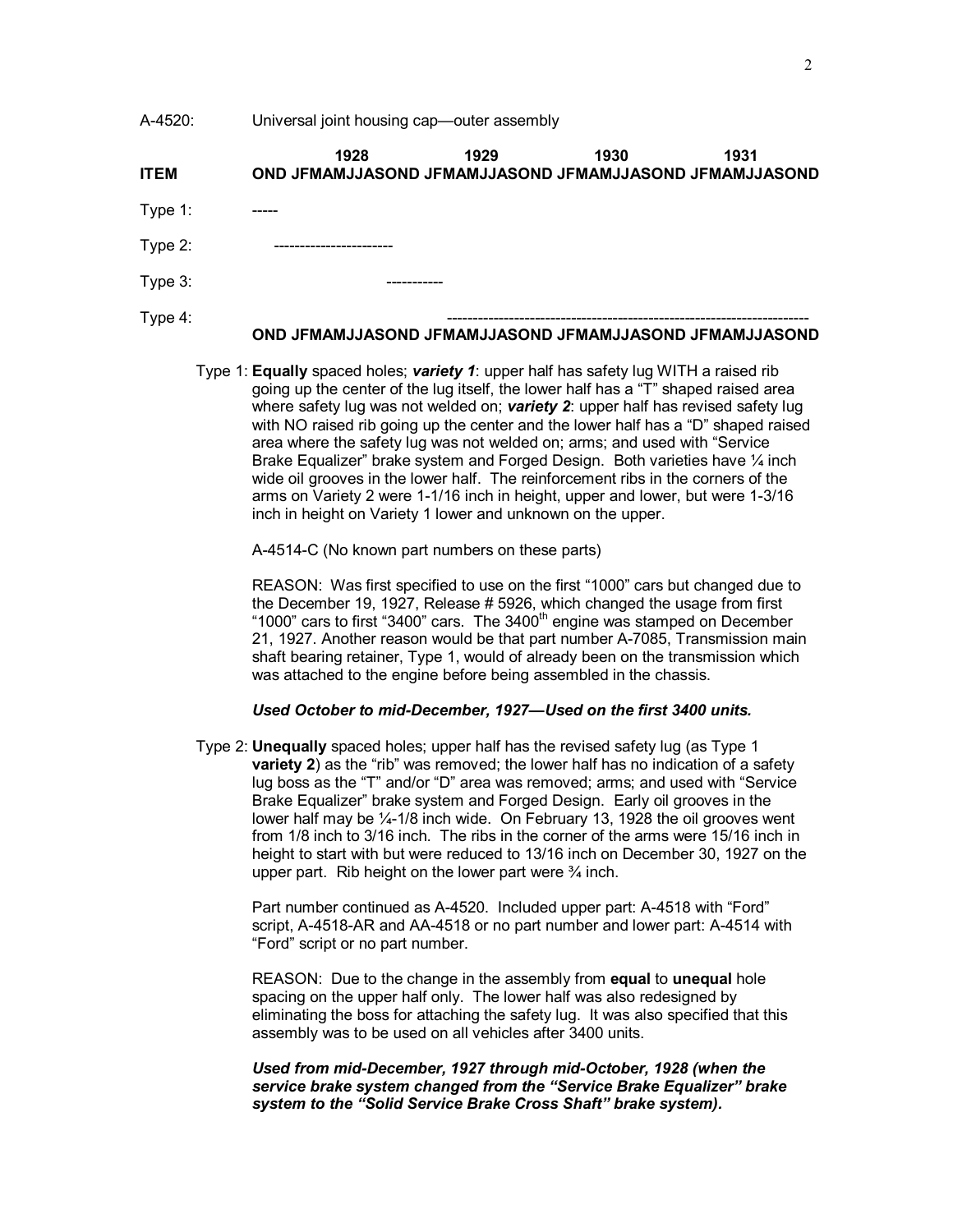A-4520: Universal joint housing cap—outer assembly

| <b>ITEM</b> | 1928<br>OND JFMAMJJASOND JFMAMJJASOND JFMAMJJASOND JFMAMJJASOND | 1929 | 1930 | 1931 |
|-------------|-----------------------------------------------------------------|------|------|------|
| Type 1:     |                                                                 |      |      |      |
| Type 2:     |                                                                 |      |      |      |
| Type 3:     |                                                                 |      |      |      |
| Type 4:     |                                                                 |      |      |      |

#### **OND JFMAMJJASOND JFMAMJJASOND JFMAMJJASOND JFMAMJJASOND**

Type 1: **Equally** spaced holes; *variety 1*: upper half has safety lug WITH a raised rib going up the center of the lug itself, the lower half has a "T" shaped raised area where safety lug was not welded on; *variety 2*: upper half has revised safety lug with NO raised rib going up the center and the lower half has a "D" shaped raised area where the safety lug was not welded on; arms; and used with "Service Brake Equalizer" brake system and Forged Design. Both varieties have 1/4 inch wide oil grooves in the lower half. The reinforcement ribs in the corners of the arms on Variety 2 were 1-1/16 inch in height, upper and lower, but were 1-3/16 inch in height on Variety 1 lower and unknown on the upper.

A-4514-C (No known part numbers on these parts)

REASON: Was first specified to use on the first "1000" cars but changed due to the December 19, 1927, Release # 5926, which changed the usage from first "1000" cars to first "3400" cars. The  $3400<sup>th</sup>$  engine was stamped on December 21, 1927. Another reason would be that part number A-7085, Transmission main shaft bearing retainer, Type 1, would of already been on the transmission which was attached to the engine before being assembled in the chassis.

#### *Used October to mid-December, 1927—Used on the first 3400 units.*

Type 2: **Unequally** spaced holes; upper half has the revised safety lug (as Type 1 **variety 2**) as the "rib" was removed; the lower half has no indication of a safety lug boss as the "T" and/or "D" area was removed; arms; and used with "Service Brake Equalizer" brake system and Forged Design. Early oil grooves in the lower half may be ¼-1/8 inch wide. On February 13, 1928 the oil grooves went from 1/8 inch to 3/16 inch. The ribs in the corner of the arms were 15/16 inch in height to start with but were reduced to 13/16 inch on December 30, 1927 on the upper part. Rib height on the lower part were  $\frac{3}{4}$  inch.

Part number continued as A-4520. Included upper part: A-4518 with "Ford" script, A-4518-AR and AA-4518 or no part number and lower part: A-4514 with "Ford" script or no part number.

REASON: Due to the change in the assembly from **equal** to **unequal** hole spacing on the upper half only. The lower half was also redesigned by eliminating the boss for attaching the safety lug. It was also specified that this assembly was to be used on all vehicles after 3400 units.

*Used from mid-December, 1927 through mid-October, 1928 (when the service brake system changed from the "Service Brake Equalizer" brake system to the "Solid Service Brake Cross Shaft" brake system).*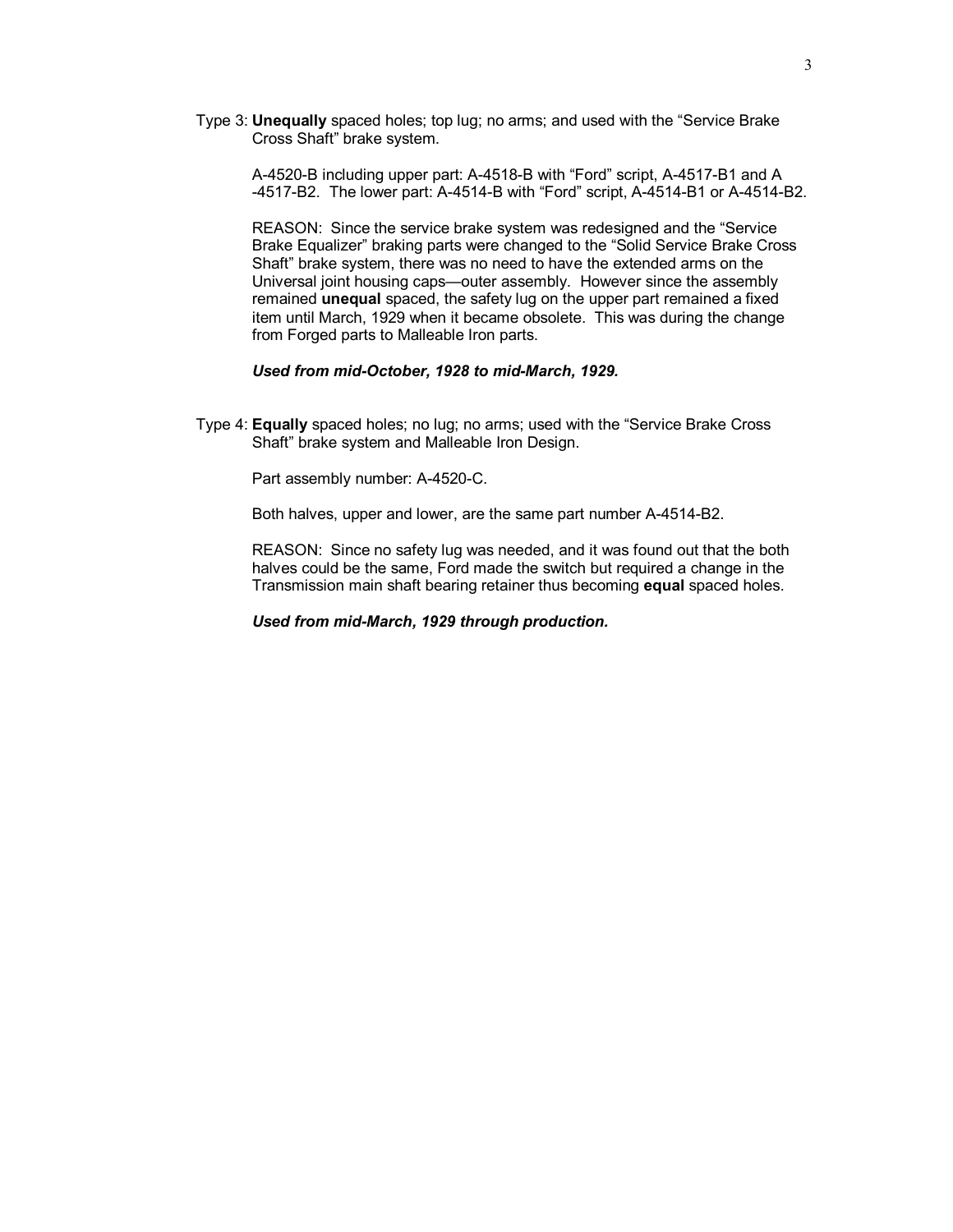Type 3: **Unequally** spaced holes; top lug; no arms; and used with the "Service Brake Cross Shaft" brake system.

A-4520-B including upper part: A-4518-B with "Ford" script, A-4517-B1 and A -4517-B2. The lower part: A-4514-B with "Ford" script, A-4514-B1 or A-4514-B2.

REASON: Since the service brake system was redesigned and the "Service Brake Equalizer" braking parts were changed to the "Solid Service Brake Cross Shaft" brake system, there was no need to have the extended arms on the Universal joint housing caps—outer assembly. However since the assembly remained **unequal** spaced, the safety lug on the upper part remained a fixed item until March, 1929 when it became obsolete. This was during the change from Forged parts to Malleable Iron parts.

#### *Used from mid-October, 1928 to mid-March, 1929.*

Type 4: **Equally** spaced holes; no lug; no arms; used with the "Service Brake Cross Shaft" brake system and Malleable Iron Design.

Part assembly number: A-4520-C.

Both halves, upper and lower, are the same part number A-4514-B2.

REASON: Since no safety lug was needed, and it was found out that the both halves could be the same, Ford made the switch but required a change in the Transmission main shaft bearing retainer thus becoming **equal** spaced holes.

*Used from mid-March, 1929 through production.*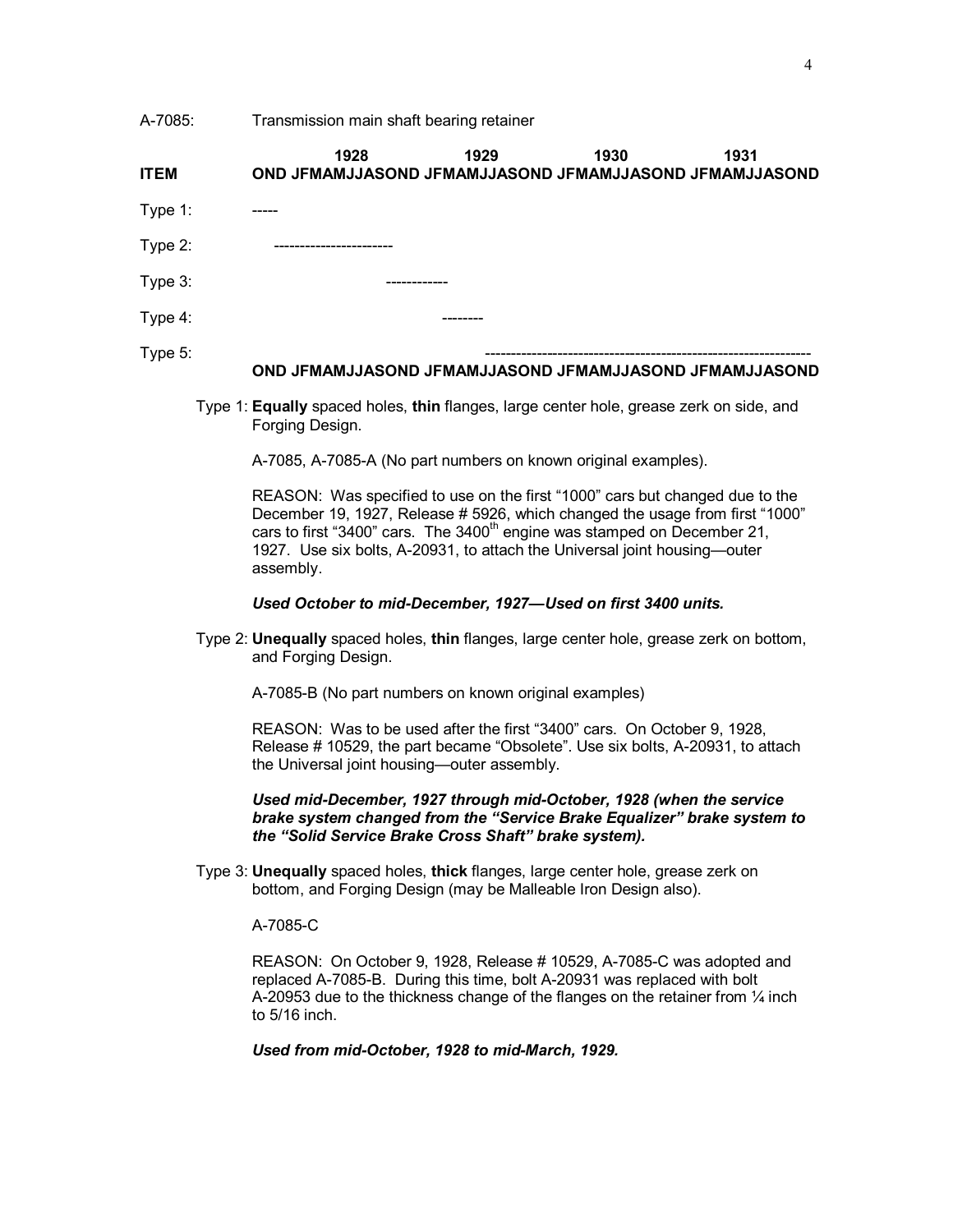A-7085: Transmission main shaft bearing retainer

| <b>ITEM</b> | 1928<br>OND JFMAMJJASOND JFMAMJJASOND JFMAMJJASOND JFMAMJJASOND | 1929    | 1930 | 1931 |
|-------------|-----------------------------------------------------------------|---------|------|------|
| Type 1:     |                                                                 |         |      |      |
| Type 2:     |                                                                 |         |      |      |
| Type 3:     |                                                                 |         |      |      |
| Type 4:     |                                                                 | _______ |      |      |
| Type 5:     |                                                                 |         |      |      |

#### **OND JFMAMJJASOND JFMAMJJASOND JFMAMJJASOND JFMAMJJASOND**

Type 1: **Equally** spaced holes, **thin** flanges, large center hole, grease zerk on side, and Forging Design.

A-7085, A-7085-A (No part numbers on known original examples).

REASON: Was specified to use on the first "1000" cars but changed due to the December 19, 1927, Release # 5926, which changed the usage from first "1000" cars to first "3400" cars. The 3400<sup>th</sup> engine was stamped on December 21, 1927. Use six bolts, A-20931, to attach the Universal joint housing—outer assembly.

#### *Used October to mid-December, 1927—Used on first 3400 units.*

Type 2: **Unequally** spaced holes, **thin** flanges, large center hole, grease zerk on bottom, and Forging Design.

A-7085-B (No part numbers on known original examples)

REASON: Was to be used after the first "3400" cars. On October 9, 1928, Release # 10529, the part became "Obsolete". Use six bolts, A-20931, to attach the Universal joint housing—outer assembly.

*Used mid-December, 1927 through mid-October, 1928 (when the service brake system changed from the "Service Brake Equalizer" brake system to the "Solid Service Brake Cross Shaft" brake system).*

Type 3: **Unequally** spaced holes, **thick** flanges, large center hole, grease zerk on bottom, and Forging Design (may be Malleable Iron Design also).

## A-7085-C

REASON: On October 9, 1928, Release # 10529, A-7085-C was adopted and replaced A-7085-B. During this time, bolt A-20931 was replaced with bolt A-20953 due to the thickness change of the flanges on the retainer from  $\frac{1}{4}$  inch to 5/16 inch.

*Used from mid-October, 1928 to mid-March, 1929.*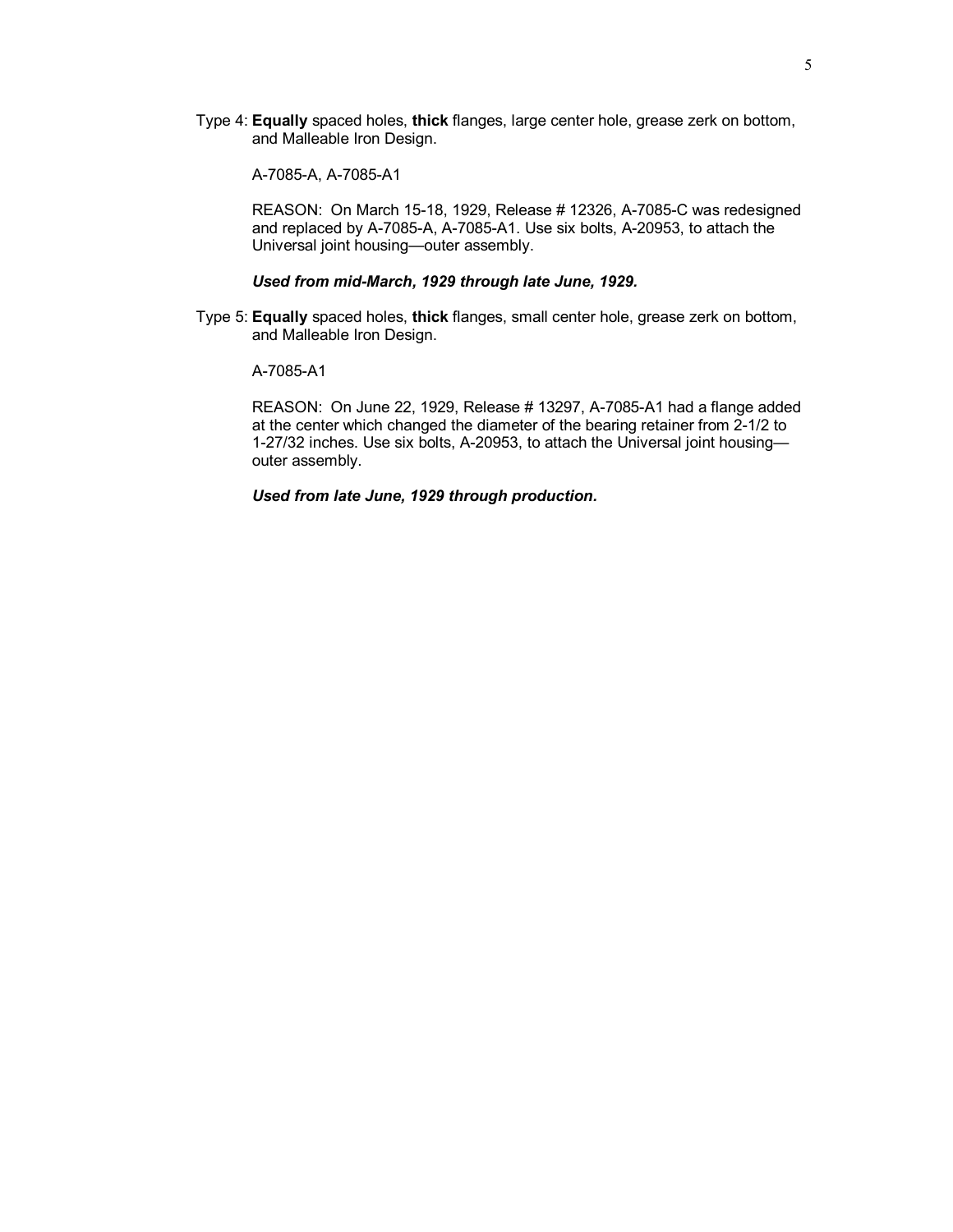Type 4: **Equally** spaced holes, **thick** flanges, large center hole, grease zerk on bottom, and Malleable Iron Design.

A-7085-A, A-7085-A1

REASON: On March 15-18, 1929, Release # 12326, A-7085-C was redesigned and replaced by A-7085-A, A-7085-A1. Use six bolts, A-20953, to attach the Universal joint housing—outer assembly.

## *Used from mid-March, 1929 through late June, 1929.*

Type 5: **Equally** spaced holes, **thick** flanges, small center hole, grease zerk on bottom, and Malleable Iron Design.

#### A-7085-A1

REASON: On June 22, 1929, Release # 13297, A-7085-A1 had a flange added at the center which changed the diameter of the bearing retainer from 2-1/2 to 1-27/32 inches. Use six bolts, A-20953, to attach the Universal joint housing outer assembly.

*Used from late June, 1929 through production.*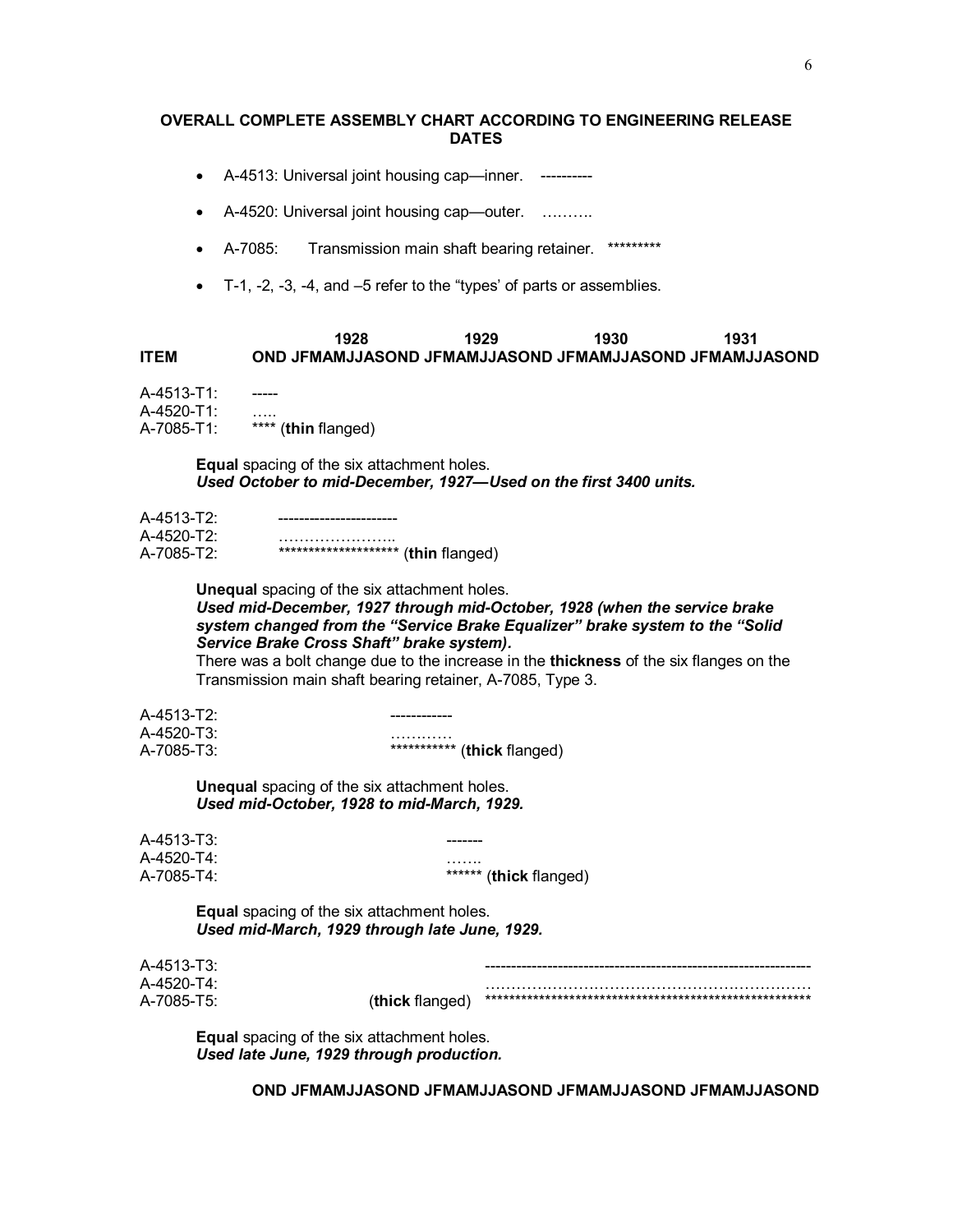### **OVERALL COMPLETE ASSEMBLY CHART ACCORDING TO ENGINEERING RELEASE DATES**

- · A-4513: Universal joint housing cap—inner. ----------
- · A-4520: Universal joint housing cap—outer. ……….
- · A-7085: Transmission main shaft bearing retainer. \*\*\*\*\*\*\*\*\*
- · T-1, -2, -3, -4, and –5 refer to the "types' of parts or assemblies.

# **1928 1929 1930 1931 ITEM OND JFMAMJJASOND JFMAMJJASOND JFMAMJJASOND JFMAMJJASOND**

 $A-4513-T1$ : A-4520-T1:<br>A-7085-T1: \*\*\*\* (**thin** flanged)

> **Equal** spacing of the six attachment holes. *Used October to mid-December, 1927—Used on the first 3400 units.*

| A-4513-T2: |                                       |
|------------|---------------------------------------|
| A-4520-T2: |                                       |
| A-7085-T2: | ********************** (thin flanged) |

**Unequal** spacing of the six attachment holes. *Used mid-December, 1927 through mid-October, 1928 (when the service brake system changed from the "Service Brake Equalizer" brake system to the "Solid Service Brake Cross Shaft" brake system).* 

There was a bolt change due to the increase in the **thickness** of the six flanges on the Transmission main shaft bearing retainer, A-7085, Type 3.

 $A-4513-T2$ : A-4520-T3: ………… A-7085-T3: \*\*\*\*\*\*\*\*\*\*\* (**thick** flanged)

> **Unequal** spacing of the six attachment holes. *Used mid-October, 1928 to mid-March, 1929.*

A-4513-T3: A-4520-T4: …….

A-7085-T4: \*\*\*\*\*\* (**thick** flanged)

**Equal** spacing of the six attachment holes. *Used mid-March, 1929 through late June, 1929.* 

| A-4513-T3: |                 |  |
|------------|-----------------|--|
| A-4520-T4: |                 |  |
| A-7085-T5: | (thick flanged) |  |

**Equal** spacing of the six attachment holes. *Used late June, 1929 through production.* 

**OND JFMAMJJASOND JFMAMJJASOND JFMAMJJASOND JFMAMJJASOND**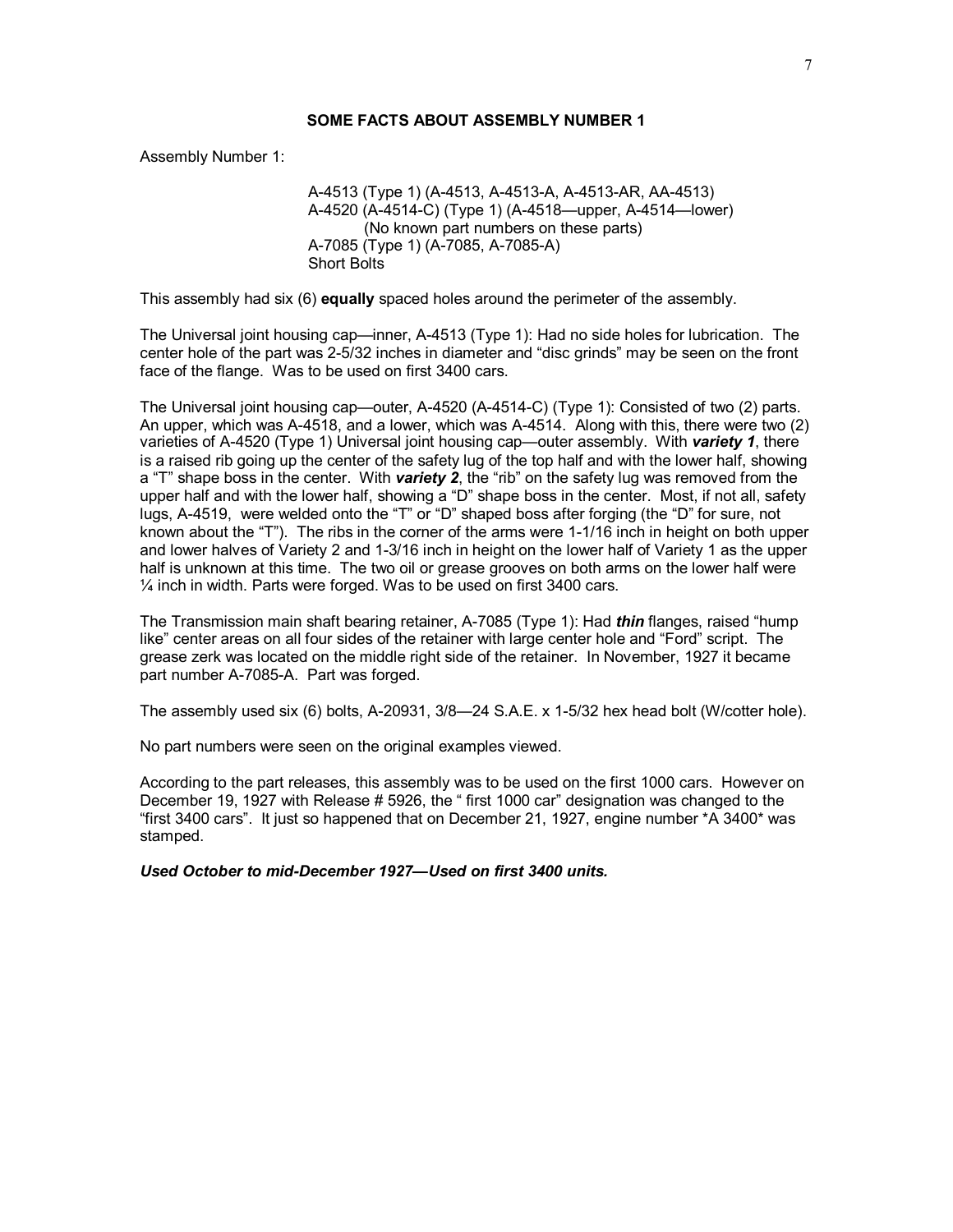Assembly Number 1:

A-4513 (Type 1) (A-4513, A-4513-A, A-4513-AR, AA-4513) A-4520 (A-4514-C) (Type 1) (A-4518—upper, A-4514—lower) (No known part numbers on these parts) A-7085 (Type 1) (A-7085, A-7085-A) Short Bolts

This assembly had six (6) **equally** spaced holes around the perimeter of the assembly.

The Universal joint housing cap—inner, A-4513 (Type 1): Had no side holes for lubrication. The center hole of the part was 2-5/32 inches in diameter and "disc grinds" may be seen on the front face of the flange. Was to be used on first 3400 cars.

The Universal joint housing cap—outer, A-4520 (A-4514-C) (Type 1): Consisted of two (2) parts. An upper, which was A-4518, and a lower, which was A-4514. Along with this, there were two (2) varieties of A-4520 (Type 1) Universal joint housing cap—outer assembly. With *variety 1*, there is a raised rib going up the center of the safety lug of the top half and with the lower half, showing a "T" shape boss in the center. With *variety 2*, the "rib" on the safety lug was removed from the upper half and with the lower half, showing a "D" shape boss in the center. Most, if not all, safety lugs, A-4519, were welded onto the "T" or "D" shaped boss after forging (the "D" for sure, not known about the "T"). The ribs in the corner of the arms were 1-1/16 inch in height on both upper and lower halves of Variety 2 and 1-3/16 inch in height on the lower half of Variety 1 as the upper half is unknown at this time. The two oil or grease grooves on both arms on the lower half were ¼ inch in width. Parts were forged. Was to be used on first 3400 cars.

The Transmission main shaft bearing retainer, A-7085 (Type 1): Had *thin* flanges, raised "hump like" center areas on all four sides of the retainer with large center hole and "Ford" script. The grease zerk was located on the middle right side of the retainer. In November, 1927 it became part number A-7085-A. Part was forged.

The assembly used six (6) bolts, A-20931, 3/8—24 S.A.E. x 1-5/32 hex head bolt (W/cotter hole).

No part numbers were seen on the original examples viewed.

According to the part releases, this assembly was to be used on the first 1000 cars. However on December 19, 1927 with Release # 5926, the " first 1000 car" designation was changed to the "first 3400 cars". It just so happened that on December 21, 1927, engine number \*A 3400\* was stamped.

*Used October to mid-December 1927—Used on first 3400 units.*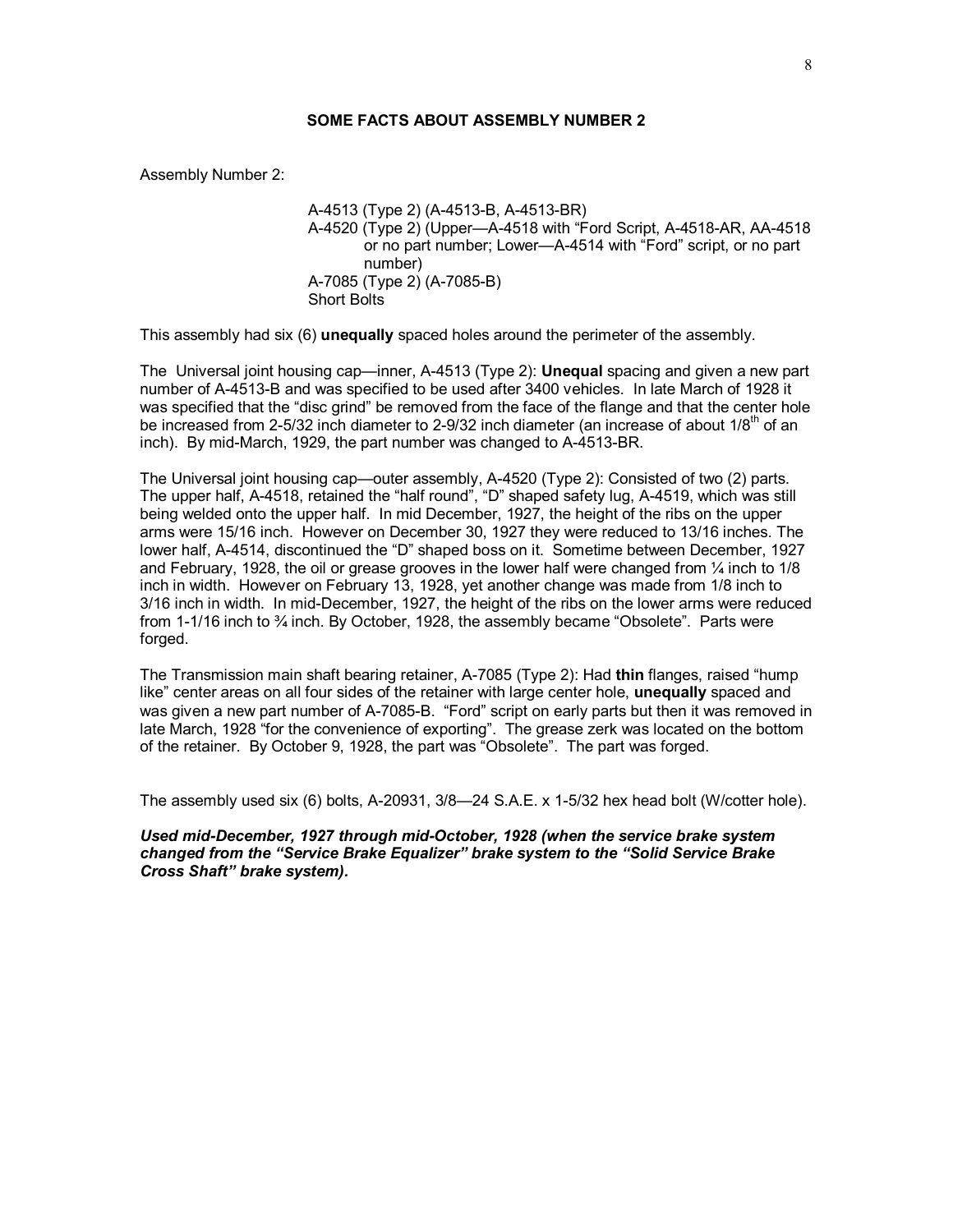Assembly Number 2:

A-4513 (Type 2) (A-4513-B, A-4513-BR) A-4520 (Type 2) (Upper—A-4518 with "Ford Script, A-4518-AR, AA-4518 or no part number; Lower—A-4514 with "Ford" script, or no part number) A-7085 (Type 2) (A-7085-B) Short Bolts

This assembly had six (6) **unequally** spaced holes around the perimeter of the assembly.

The Universal joint housing cap—inner, A-4513 (Type 2): **Unequal** spacing and given a new part number of A-4513-B and was specified to be used after 3400 vehicles. In late March of 1928 it was specified that the "disc grind" be removed from the face of the flange and that the center hole be increased from 2-5/32 inch diameter to 2-9/32 inch diameter (an increase of about  $1/8<sup>th</sup>$  of an inch). By mid-March, 1929, the part number was changed to A-4513-BR.

The Universal joint housing cap—outer assembly, A-4520 (Type 2): Consisted of two (2) parts. The upper half, A-4518, retained the "half round", "D" shaped safety lug, A-4519, which was still being welded onto the upper half. In mid December, 1927, the height of the ribs on the upper arms were 15/16 inch. However on December 30, 1927 they were reduced to 13/16 inches. The lower half, A-4514, discontinued the "D" shaped boss on it. Sometime between December, 1927 and February, 1928, the oil or grease grooves in the lower half were changed from  $\frac{1}{4}$  inch to 1/8 inch in width. However on February 13, 1928, yet another change was made from 1/8 inch to 3/16 inch in width. In mid-December, 1927, the height of the ribs on the lower arms were reduced from 1-1/16 inch to  $\frac{3}{4}$  inch. By October, 1928, the assembly became "Obsolete". Parts were forged.

The Transmission main shaft bearing retainer, A-7085 (Type 2): Had **thin** flanges, raised "hump like" center areas on all four sides of the retainer with large center hole, **unequally** spaced and was given a new part number of A-7085-B. "Ford" script on early parts but then it was removed in late March, 1928 "for the convenience of exporting". The grease zerk was located on the bottom of the retainer. By October 9, 1928, the part was "Obsolete". The part was forged.

The assembly used six (6) bolts, A-20931, 3/8—24 S.A.E. x 1-5/32 hex head bolt (W/cotter hole).

*Used mid-December, 1927 through mid-October, 1928 (when the service brake system changed from the "Service Brake Equalizer" brake system to the "Solid Service Brake Cross Shaft" brake system).*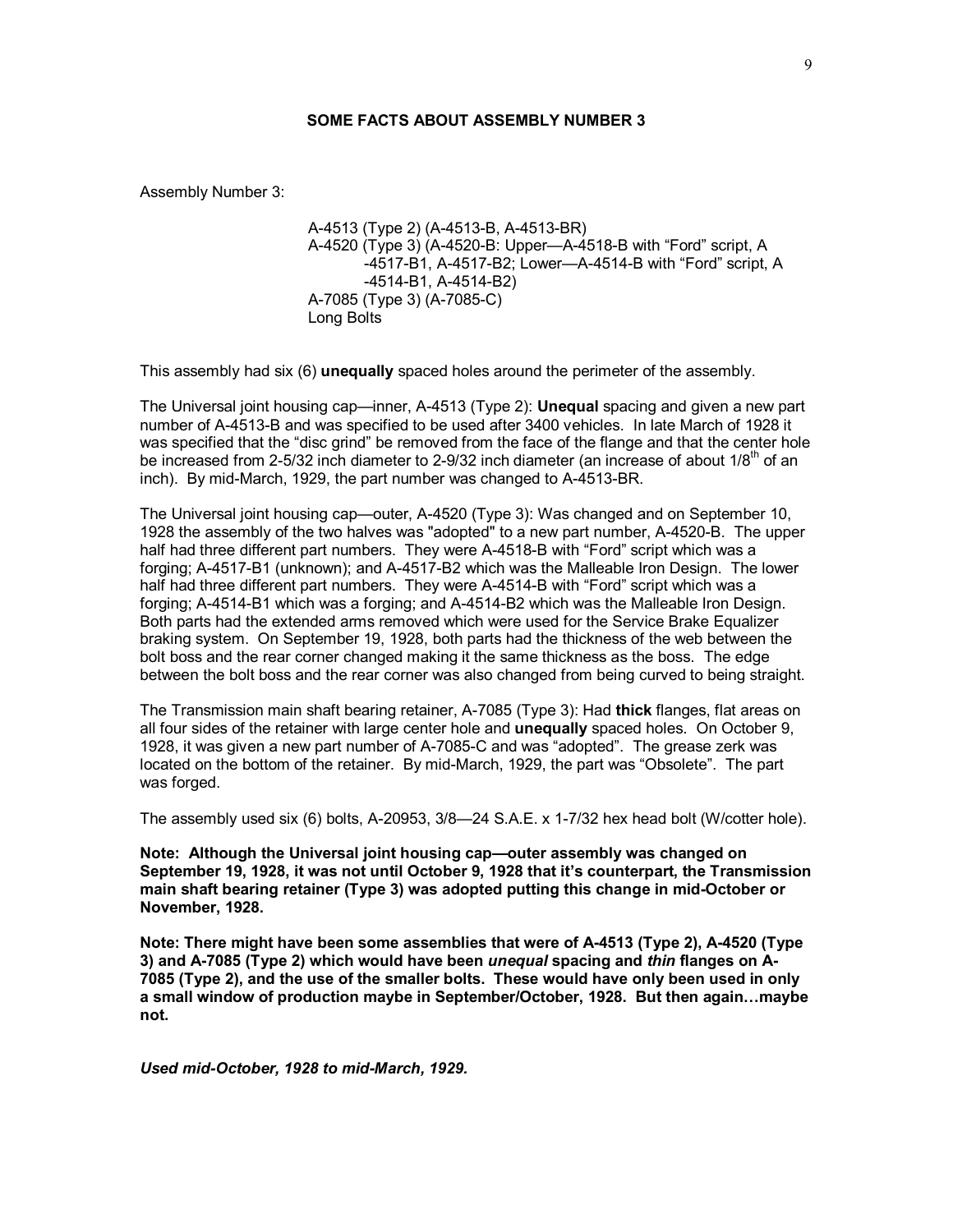Assembly Number 3:

A-4513 (Type 2) (A-4513-B, A-4513-BR) A-4520 (Type 3) (A-4520-B: Upper—A-4518-B with "Ford" script, A -4517-B1, A-4517-B2; Lower—A-4514-B with "Ford" script, A -4514-B1, A-4514-B2) A-7085 (Type 3) (A-7085-C) Long Bolts

This assembly had six (6) **unequally** spaced holes around the perimeter of the assembly.

The Universal joint housing cap—inner, A-4513 (Type 2): **Unequal** spacing and given a new part number of A-4513-B and was specified to be used after 3400 vehicles. In late March of 1928 it was specified that the "disc grind" be removed from the face of the flange and that the center hole be increased from 2-5/32 inch diameter to 2-9/32 inch diameter (an increase of about  $1/8<sup>th</sup>$  of an inch). By mid-March, 1929, the part number was changed to A-4513-BR.

The Universal joint housing cap—outer, A-4520 (Type 3): Was changed and on September 10, 1928 the assembly of the two halves was "adopted" to a new part number, A-4520-B. The upper half had three different part numbers. They were A-4518-B with "Ford" script which was a forging; A-4517-B1 (unknown); and A-4517-B2 which was the Malleable Iron Design. The lower half had three different part numbers. They were A-4514-B with "Ford" script which was a forging; A-4514-B1 which was a forging; and A-4514-B2 which was the Malleable Iron Design. Both parts had the extended arms removed which were used for the Service Brake Equalizer braking system. On September 19, 1928, both parts had the thickness of the web between the bolt boss and the rear corner changed making it the same thickness as the boss. The edge between the bolt boss and the rear corner was also changed from being curved to being straight.

The Transmission main shaft bearing retainer, A-7085 (Type 3): Had **thick** flanges, flat areas on all four sides of the retainer with large center hole and **unequally** spaced holes. On October 9, 1928, it was given a new part number of A-7085-C and was "adopted". The grease zerk was located on the bottom of the retainer. By mid-March, 1929, the part was "Obsolete". The part was forged.

The assembly used six (6) bolts, A-20953, 3/8—24 S.A.E. x 1-7/32 hex head bolt (W/cotter hole).

**Note: Although the Universal joint housing cap—outer assembly was changed on September 19, 1928, it was not until October 9, 1928 that it's counterpart, the Transmission main shaft bearing retainer (Type 3) was adopted putting this change in mid-October or November, 1928.** 

**Note: There might have been some assemblies that were of A-4513 (Type 2), A-4520 (Type 3) and A-7085 (Type 2) which would have been** *unequal* **spacing and** *thin* **flanges on A-7085 (Type 2), and the use of the smaller bolts. These would have only been used in only a small window of production maybe in September/October, 1928. But then again…maybe not.** 

*Used mid-October, 1928 to mid-March, 1929.*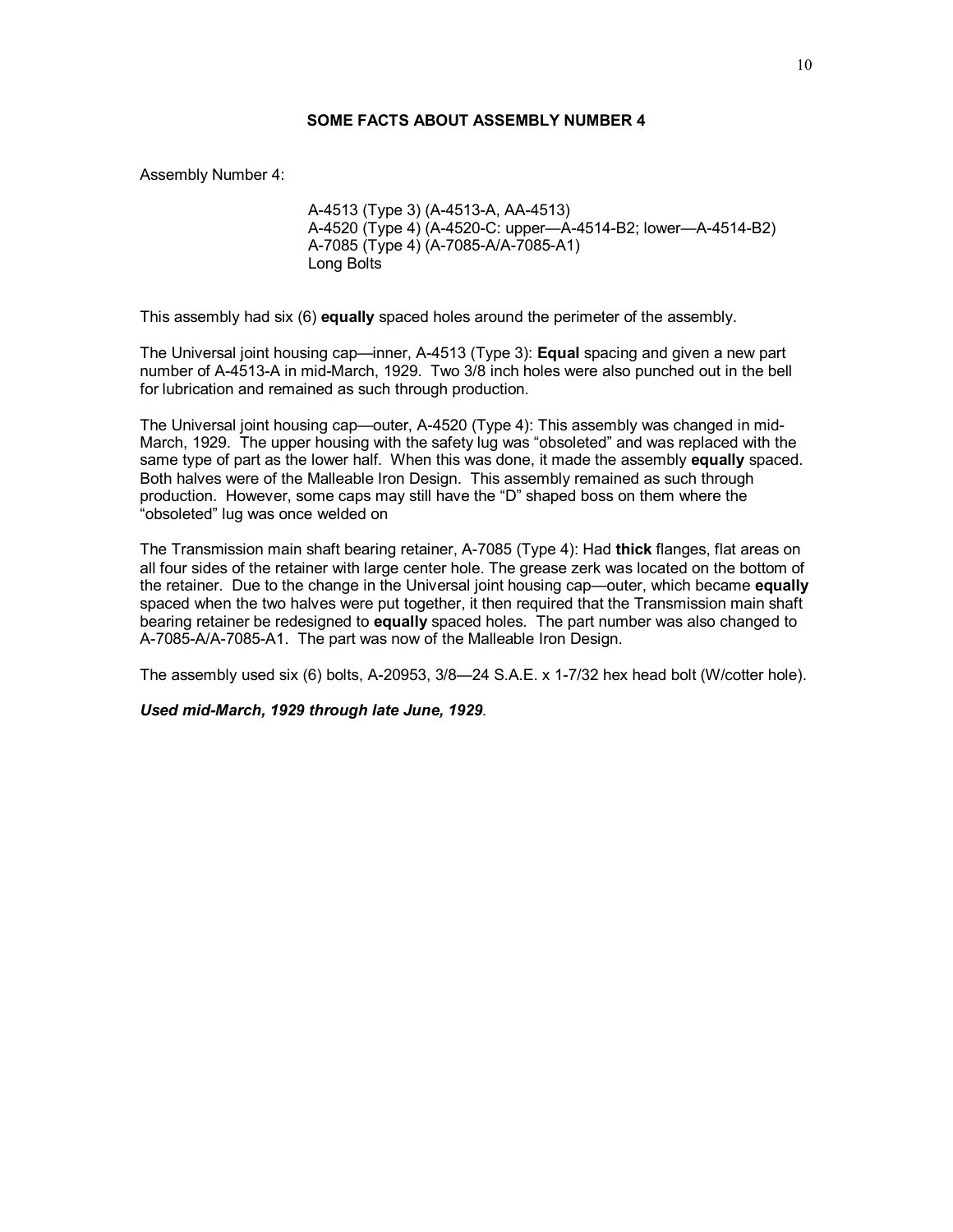Assembly Number 4:

A-4513 (Type 3) (A-4513-A, AA-4513) A-4520 (Type 4) (A-4520-C: upper—A-4514-B2; lower—A-4514-B2) A-7085 (Type 4) (A-7085-A/A-7085-A1) Long Bolts

This assembly had six (6) **equally** spaced holes around the perimeter of the assembly.

The Universal joint housing cap—inner, A-4513 (Type 3): **Equal** spacing and given a new part number of A-4513-A in mid-March, 1929. Two 3/8 inch holes were also punched out in the bell for lubrication and remained as such through production.

The Universal joint housing cap—outer, A-4520 (Type 4): This assembly was changed in mid-March, 1929. The upper housing with the safety lug was "obsoleted" and was replaced with the same type of part as the lower half. When this was done, it made the assembly **equally** spaced. Both halves were of the Malleable Iron Design. This assembly remained as such through production. However, some caps may still have the "D" shaped boss on them where the "obsoleted" lug was once welded on

The Transmission main shaft bearing retainer, A-7085 (Type 4): Had **thick** flanges, flat areas on all four sides of the retainer with large center hole. The grease zerk was located on the bottom of the retainer. Due to the change in the Universal joint housing cap—outer, which became **equally** spaced when the two halves were put together, it then required that the Transmission main shaft bearing retainer be redesigned to **equally** spaced holes. The part number was also changed to A-7085-A/A-7085-A1. The part was now of the Malleable Iron Design.

The assembly used six (6) bolts, A-20953, 3/8—24 S.A.E. x 1-7/32 hex head bolt (W/cotter hole).

*Used mid-March, 1929 through late June, 1929.*